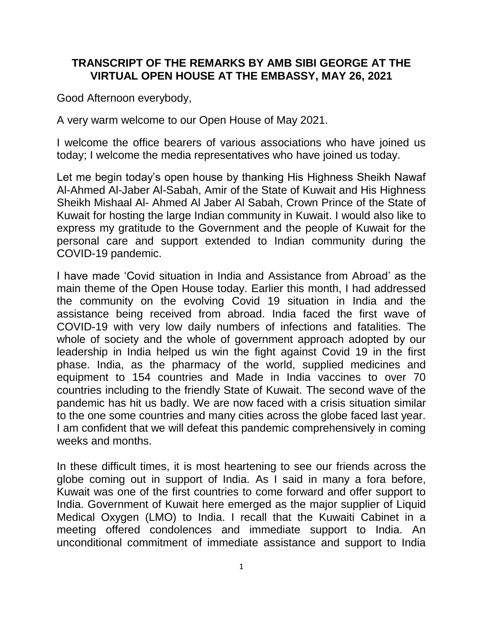## **TRANSCRIPT OF THE REMARKS BY AMB SIBI GEORGE AT THE VIRTUAL OPEN HOUSE AT THE EMBASSY, MAY 26, 2021**

Good Afternoon everybody,

A very warm welcome to our Open House of May 2021.

I welcome the office bearers of various associations who have joined us today; I welcome the media representatives who have joined us today.

Let me begin today's open house by thanking His Highness Sheikh Nawaf Al-Ahmed Al-Jaber Al-Sabah, Amir of the State of Kuwait and His Highness Sheikh Mishaal Al- Ahmed Al Jaber Al Sabah, Crown Prince of the State of Kuwait for hosting the large Indian community in Kuwait. I would also like to express my gratitude to the Government and the people of Kuwait for the personal care and support extended to Indian community during the COVID-19 pandemic.

I have made 'Covid situation in India and Assistance from Abroad' as the main theme of the Open House today. Earlier this month, I had addressed the community on the evolving Covid 19 situation in India and the assistance being received from abroad. India faced the first wave of COVID-19 with very low daily numbers of infections and fatalities. The whole of society and the whole of government approach adopted by our leadership in India helped us win the fight against Covid 19 in the first phase. India, as the pharmacy of the world, supplied medicines and equipment to 154 countries and Made in India vaccines to over 70 countries including to the friendly State of Kuwait. The second wave of the pandemic has hit us badly. We are now faced with a crisis situation similar to the one some countries and many cities across the globe faced last year. I am confident that we will defeat this pandemic comprehensively in coming weeks and months.

In these difficult times, it is most heartening to see our friends across the globe coming out in support of India. As I said in many a fora before, Kuwait was one of the first countries to come forward and offer support to India. Government of Kuwait here emerged as the major supplier of Liquid Medical Oxygen (LMO) to India. I recall that the Kuwaiti Cabinet in a meeting offered condolences and immediate support to India. An unconditional commitment of immediate assistance and support to India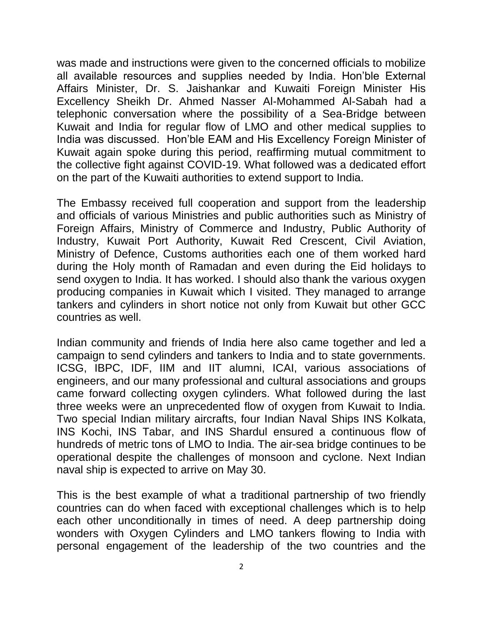was made and instructions were given to the concerned officials to mobilize all available resources and supplies needed by India. Hon'ble External Affairs Minister, Dr. S. Jaishankar and Kuwaiti Foreign Minister His Excellency Sheikh Dr. Ahmed Nasser Al-Mohammed Al-Sabah had a telephonic conversation where the possibility of a Sea-Bridge between Kuwait and India for regular flow of LMO and other medical supplies to India was discussed. Hon'ble EAM and His Excellency Foreign Minister of Kuwait again spoke during this period, reaffirming mutual commitment to the collective fight against COVID-19. What followed was a dedicated effort on the part of the Kuwaiti authorities to extend support to India.

The Embassy received full cooperation and support from the leadership and officials of various Ministries and public authorities such as Ministry of Foreign Affairs, Ministry of Commerce and Industry, Public Authority of Industry, Kuwait Port Authority, Kuwait Red Crescent, Civil Aviation, Ministry of Defence, Customs authorities each one of them worked hard during the Holy month of Ramadan and even during the Eid holidays to send oxygen to India. It has worked. I should also thank the various oxygen producing companies in Kuwait which I visited. They managed to arrange tankers and cylinders in short notice not only from Kuwait but other GCC countries as well.

Indian community and friends of India here also came together and led a campaign to send cylinders and tankers to India and to state governments. ICSG, IBPC, IDF, IIM and IIT alumni, ICAI, various associations of engineers, and our many professional and cultural associations and groups came forward collecting oxygen cylinders. What followed during the last three weeks were an unprecedented flow of oxygen from Kuwait to India. Two special Indian military aircrafts, four Indian Naval Ships INS Kolkata, INS Kochi, INS Tabar, and INS Shardul ensured a continuous flow of hundreds of metric tons of LMO to India. The air-sea bridge continues to be operational despite the challenges of monsoon and cyclone. Next Indian naval ship is expected to arrive on May 30.

This is the best example of what a traditional partnership of two friendly countries can do when faced with exceptional challenges which is to help each other unconditionally in times of need. A deep partnership doing wonders with Oxygen Cylinders and LMO tankers flowing to India with personal engagement of the leadership of the two countries and the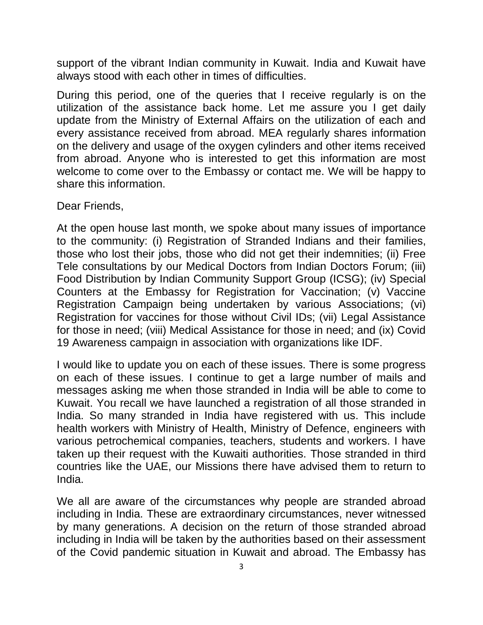support of the vibrant Indian community in Kuwait. India and Kuwait have always stood with each other in times of difficulties.

During this period, one of the queries that I receive regularly is on the utilization of the assistance back home. Let me assure you I get daily update from the Ministry of External Affairs on the utilization of each and every assistance received from abroad. MEA regularly shares information on the delivery and usage of the oxygen cylinders and other items received from abroad. Anyone who is interested to get this information are most welcome to come over to the Embassy or contact me. We will be happy to share this information.

## Dear Friends,

At the open house last month, we spoke about many issues of importance to the community: (i) Registration of Stranded Indians and their families, those who lost their jobs, those who did not get their indemnities; (ii) Free Tele consultations by our Medical Doctors from Indian Doctors Forum; (iii) Food Distribution by Indian Community Support Group (ICSG); (iv) Special Counters at the Embassy for Registration for Vaccination; (v) Vaccine Registration Campaign being undertaken by various Associations; (vi) Registration for vaccines for those without Civil IDs; (vii) Legal Assistance for those in need; (viii) Medical Assistance for those in need; and (ix) Covid 19 Awareness campaign in association with organizations like IDF.

I would like to update you on each of these issues. There is some progress on each of these issues. I continue to get a large number of mails and messages asking me when those stranded in India will be able to come to Kuwait. You recall we have launched a registration of all those stranded in India. So many stranded in India have registered with us. This include health workers with Ministry of Health, Ministry of Defence, engineers with various petrochemical companies, teachers, students and workers. I have taken up their request with the Kuwaiti authorities. Those stranded in third countries like the UAE, our Missions there have advised them to return to India.

We all are aware of the circumstances why people are stranded abroad including in India. These are extraordinary circumstances, never witnessed by many generations. A decision on the return of those stranded abroad including in India will be taken by the authorities based on their assessment of the Covid pandemic situation in Kuwait and abroad. The Embassy has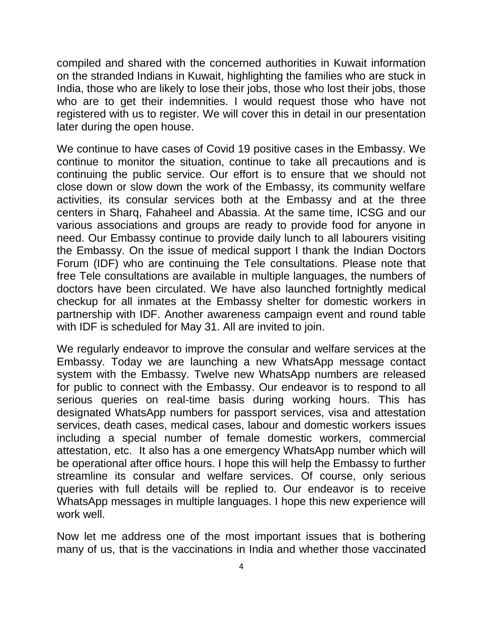compiled and shared with the concerned authorities in Kuwait information on the stranded Indians in Kuwait, highlighting the families who are stuck in India, those who are likely to lose their jobs, those who lost their jobs, those who are to get their indemnities. I would request those who have not registered with us to register. We will cover this in detail in our presentation later during the open house.

We continue to have cases of Covid 19 positive cases in the Embassy. We continue to monitor the situation, continue to take all precautions and is continuing the public service. Our effort is to ensure that we should not close down or slow down the work of the Embassy, its community welfare activities, its consular services both at the Embassy and at the three centers in Sharq, Fahaheel and Abassia. At the same time, ICSG and our various associations and groups are ready to provide food for anyone in need. Our Embassy continue to provide daily lunch to all labourers visiting the Embassy. On the issue of medical support I thank the Indian Doctors Forum (IDF) who are continuing the Tele consultations. Please note that free Tele consultations are available in multiple languages, the numbers of doctors have been circulated. We have also launched fortnightly medical checkup for all inmates at the Embassy shelter for domestic workers in partnership with IDF. Another awareness campaign event and round table with IDF is scheduled for May 31. All are invited to join.

We regularly endeavor to improve the consular and welfare services at the Embassy. Today we are launching a new WhatsApp message contact system with the Embassy. Twelve new WhatsApp numbers are released for public to connect with the Embassy. Our endeavor is to respond to all serious queries on real-time basis during working hours. This has designated WhatsApp numbers for passport services, visa and attestation services, death cases, medical cases, labour and domestic workers issues including a special number of female domestic workers, commercial attestation, etc. It also has a one emergency WhatsApp number which will be operational after office hours. I hope this will help the Embassy to further streamline its consular and welfare services. Of course, only serious queries with full details will be replied to. Our endeavor is to receive WhatsApp messages in multiple languages. I hope this new experience will work well.

Now let me address one of the most important issues that is bothering many of us, that is the vaccinations in India and whether those vaccinated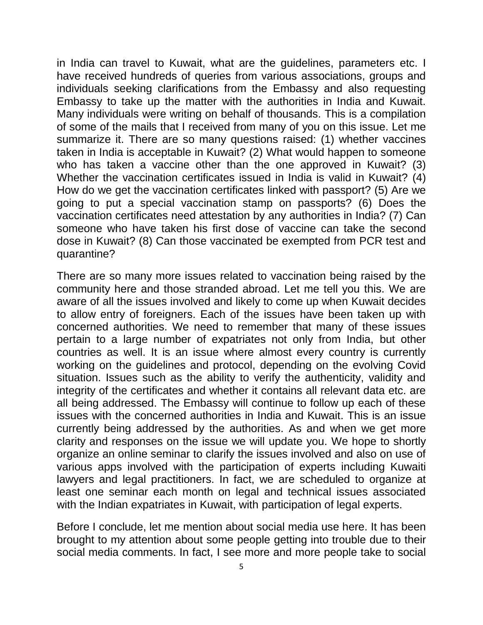in India can travel to Kuwait, what are the guidelines, parameters etc. I have received hundreds of queries from various associations, groups and individuals seeking clarifications from the Embassy and also requesting Embassy to take up the matter with the authorities in India and Kuwait. Many individuals were writing on behalf of thousands. This is a compilation of some of the mails that I received from many of you on this issue. Let me summarize it. There are so many questions raised: (1) whether vaccines taken in India is acceptable in Kuwait? (2) What would happen to someone who has taken a vaccine other than the one approved in Kuwait? (3) Whether the vaccination certificates issued in India is valid in Kuwait? (4) How do we get the vaccination certificates linked with passport? (5) Are we going to put a special vaccination stamp on passports? (6) Does the vaccination certificates need attestation by any authorities in India? (7) Can someone who have taken his first dose of vaccine can take the second dose in Kuwait? (8) Can those vaccinated be exempted from PCR test and quarantine?

There are so many more issues related to vaccination being raised by the community here and those stranded abroad. Let me tell you this. We are aware of all the issues involved and likely to come up when Kuwait decides to allow entry of foreigners. Each of the issues have been taken up with concerned authorities. We need to remember that many of these issues pertain to a large number of expatriates not only from India, but other countries as well. It is an issue where almost every country is currently working on the guidelines and protocol, depending on the evolving Covid situation. Issues such as the ability to verify the authenticity, validity and integrity of the certificates and whether it contains all relevant data etc. are all being addressed. The Embassy will continue to follow up each of these issues with the concerned authorities in India and Kuwait. This is an issue currently being addressed by the authorities. As and when we get more clarity and responses on the issue we will update you. We hope to shortly organize an online seminar to clarify the issues involved and also on use of various apps involved with the participation of experts including Kuwaiti lawyers and legal practitioners. In fact, we are scheduled to organize at least one seminar each month on legal and technical issues associated with the Indian expatriates in Kuwait, with participation of legal experts.

Before I conclude, let me mention about social media use here. It has been brought to my attention about some people getting into trouble due to their social media comments. In fact, I see more and more people take to social